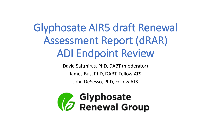## Glyphosate AIR5 draft Renewal Assessment Report (dRAR) ADI Endpoint Review

David Saltmiras, PhD, DABT (moderator)

James Bus, PhD, DABT, Fellow ATS

John DeSesso, PhD, Fellow ATS

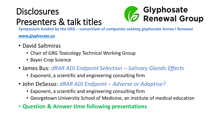## **Disclosures** Presenters & talk titles



**Symposium funded by the GRG – consortium of companies seeking glyphosate Annex I Renewal**

**[www.glyphosate.eu](http://www.glyphosate.eu/)**

- David Saltmiras
	- Chair of GRG Toxicology Technical Working Group
	- Bayer Crop Science
- James Bus: *dRAR ADI Endpoint Selection – Salivary Glands Effects*
	- Exponent, a scientific and engineering consulting firm
- John DeSesso: *dRAR ADI Endpoint – Adverse or Adaptive?*
	- Exponent, a scientific and engineering consulting firm
	- Georgetown University School of Medicine, an institute of medical education
- **Question & Answer time following presentations**